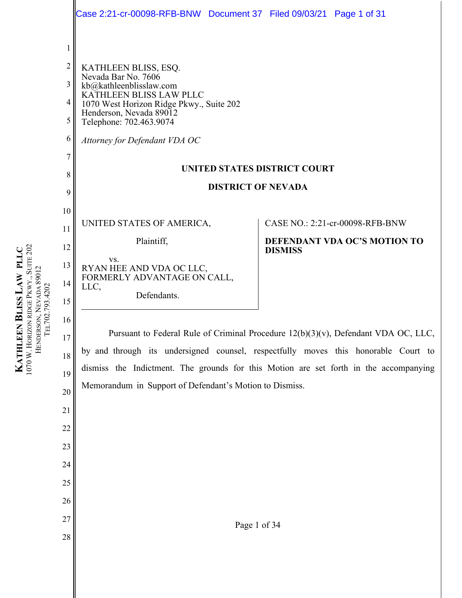|                   | Case 2:21-cr-00098-RFB-BNW Document 37 Filed 09/03/21 Page 1 of 31                    |                                                                                    |
|-------------------|---------------------------------------------------------------------------------------|------------------------------------------------------------------------------------|
|                   |                                                                                       |                                                                                    |
| $\mathbf{1}$<br>2 |                                                                                       |                                                                                    |
| 3                 | KATHLEEN BLISS, ESQ.<br>Nevada Bar No. 7606<br>kb@kathleenblisslaw.com                |                                                                                    |
| $\overline{4}$    | KATHLEEN BLISS LAW PLLC<br>1070 West Horizon Ridge Pkwy., Suite 202                   |                                                                                    |
| 5                 | Henderson, Nevada 89012<br>Telephone: 702.463.9074                                    |                                                                                    |
| 6                 | Attorney for Defendant VDA OC                                                         |                                                                                    |
| 7                 |                                                                                       |                                                                                    |
| 8                 | UNITED STATES DISTRICT COURT                                                          |                                                                                    |
| 9                 | <b>DISTRICT OF NEVADA</b>                                                             |                                                                                    |
| 10                |                                                                                       |                                                                                    |
| 11                | UNITED STATES OF AMERICA,                                                             | CASE NO.: 2:21-cr-00098-RFB-BNW                                                    |
| 12                | Plaintiff,                                                                            | DEFENDANT VDA OC'S MOTION TO<br><b>DISMISS</b>                                     |
| 13                | VS.<br>RYAN HEE AND VDA OC LLC,                                                       |                                                                                    |
| 14                | FORMERLY ADVANTAGE ON CALL,<br>LLC,                                                   |                                                                                    |
| 15                | Defendants.                                                                           |                                                                                    |
| 16                |                                                                                       |                                                                                    |
| 17                |                                                                                       | Pursuant to Federal Rule of Criminal Procedure 12(b)(3)(v), Defendant VDA OC, LLC, |
| 18                | by and through its undersigned counsel, respectfully moves this honorable Court to    |                                                                                    |
| 19                | dismiss the Indictment. The grounds for this Motion are set forth in the accompanying |                                                                                    |
| 20                | Memorandum in Support of Defendant's Motion to Dismiss.                               |                                                                                    |
| 21                |                                                                                       |                                                                                    |
| 22                |                                                                                       |                                                                                    |
| 23                |                                                                                       |                                                                                    |
| 24                |                                                                                       |                                                                                    |
| 25                |                                                                                       |                                                                                    |
| 26                |                                                                                       |                                                                                    |
| 27                |                                                                                       |                                                                                    |
| 28                | Page 1 of 34                                                                          |                                                                                    |
|                   |                                                                                       |                                                                                    |

**KATHLEEN BLISS LAW PLLC**  $1070$  W. HORIZON RIDGE PKWY., SUITE 202 HENDERSON, NEVADA 89012 TEL702.793.4202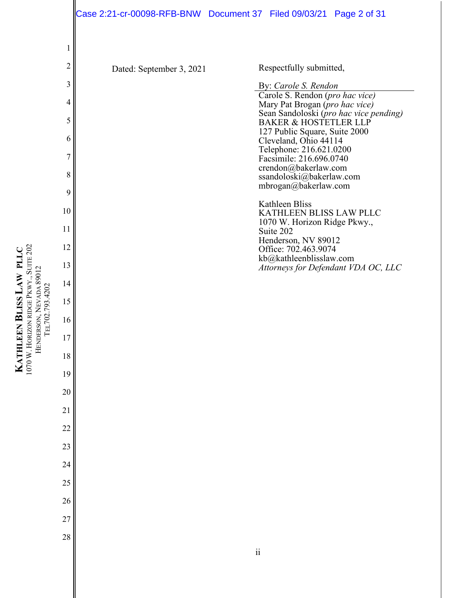|                | Case 2:21-cr-00098-RFB-BNW Document 37 Filed 09/03/21 Page 2 of 31 |                     |                                                                             |                                                                 |
|----------------|--------------------------------------------------------------------|---------------------|-----------------------------------------------------------------------------|-----------------------------------------------------------------|
|                |                                                                    |                     |                                                                             |                                                                 |
| 1              |                                                                    |                     |                                                                             |                                                                 |
| $\overline{2}$ | Dated: September 3, 2021                                           |                     | Respectfully submitted,                                                     |                                                                 |
| 3              |                                                                    |                     | By: Carole S. Rendon<br>Carole S. Rendon (pro hac vice)                     |                                                                 |
| 4              |                                                                    |                     | Mary Pat Brogan (pro hac vice)                                              | Sean Sandoloski (pro hac vice pending)<br>BAKER & HOSTETLER LLP |
| 5              |                                                                    |                     | 127 Public Square, Suite 2000                                               |                                                                 |
| 6              |                                                                    |                     | Cleveland, Ohio 44114<br>Telephone: 216.621.0200<br>Facsimile: 216.696.0740 |                                                                 |
| 7<br>8         |                                                                    |                     | crendon@bakerlaw.com<br>ssandoloski@bakerlaw.com                            |                                                                 |
| 9              |                                                                    |                     | mbrogan@bakerlaw.com                                                        |                                                                 |
| 10             |                                                                    |                     | <b>Kathleen Bliss</b><br>KATHLEEN BLISS LAW PLLC                            |                                                                 |
| 11             |                                                                    |                     | 1070 W. Horizon Ridge Pkwy.,<br>Suite 202                                   |                                                                 |
| 12             |                                                                    |                     | Henderson, NV 89012<br>Office: 702.463.9074                                 |                                                                 |
| 13             |                                                                    |                     | kb@kathleenblisslaw.com                                                     | Attorneys for Defendant VDA OC, LLC                             |
| 14             |                                                                    |                     |                                                                             |                                                                 |
| 15             |                                                                    |                     |                                                                             |                                                                 |
| 16             |                                                                    |                     |                                                                             |                                                                 |
| $17\,$         |                                                                    |                     |                                                                             |                                                                 |
| 18             |                                                                    |                     |                                                                             |                                                                 |
| 19             |                                                                    |                     |                                                                             |                                                                 |
| 20             |                                                                    |                     |                                                                             |                                                                 |
| 21             |                                                                    |                     |                                                                             |                                                                 |
| 22             |                                                                    |                     |                                                                             |                                                                 |
| 23             |                                                                    |                     |                                                                             |                                                                 |
| 24             |                                                                    |                     |                                                                             |                                                                 |
| 25             |                                                                    |                     |                                                                             |                                                                 |
| 26             |                                                                    |                     |                                                                             |                                                                 |
| 27             |                                                                    |                     |                                                                             |                                                                 |
| 28             |                                                                    | $\ddot{\mathbf{i}}$ |                                                                             |                                                                 |
|                |                                                                    |                     |                                                                             |                                                                 |
|                |                                                                    |                     |                                                                             |                                                                 |
|                |                                                                    |                     |                                                                             |                                                                 |

**KATHLEEN KATHLEEN BLISS LAW PLLC LAW PLLC** 1070 W. HORIZON RIDGE PKWY., SUITE 202<br>HENDERSON, NEVADA 89012<br>TEL702.793.4202 HORIZON RIDGE PKWY., SUITE 202 HENDERSON, NEVADA 89012 TEL702.793.4202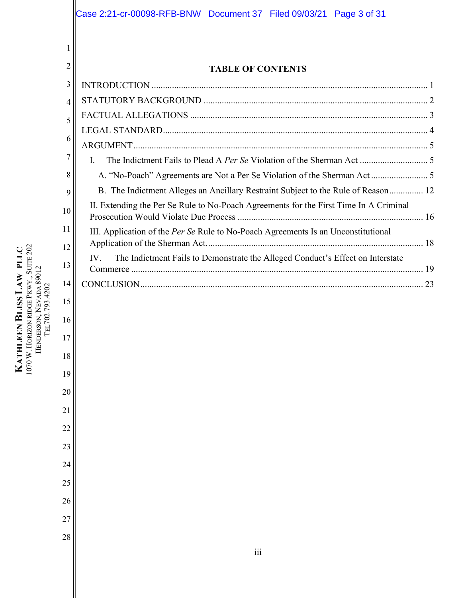|                     | Case 2:21-cr-00098-RFB-BNW  Document 37  Filed 09/03/21  Page 3 of 31                 |
|---------------------|---------------------------------------------------------------------------------------|
|                     |                                                                                       |
| 1<br>$\overline{2}$ |                                                                                       |
| 3                   | <b>TABLE OF CONTENTS</b>                                                              |
| 4                   |                                                                                       |
| 5                   |                                                                                       |
| 6                   |                                                                                       |
| 7                   |                                                                                       |
| 8                   | I.<br>A. "No-Poach" Agreements are Not a Per Se Violation of the Sherman Act 5        |
| 9                   | B. The Indictment Alleges an Ancillary Restraint Subject to the Rule of Reason 12     |
| 10                  | II. Extending the Per Se Rule to No-Poach Agreements for the First Time In A Criminal |
| 11                  | III. Application of the Per Se Rule to No-Poach Agreements Is an Unconstitutional     |
| 12                  |                                                                                       |
| 13                  | IV.<br>The Indictment Fails to Demonstrate the Alleged Conduct's Effect on Interstate |
| 14                  |                                                                                       |
| 15                  |                                                                                       |
| 16                  |                                                                                       |
| 17                  |                                                                                       |
| 18                  |                                                                                       |
| 19                  |                                                                                       |
| 20                  |                                                                                       |
| 21                  |                                                                                       |
| 22                  |                                                                                       |
| 23                  |                                                                                       |
| 24                  |                                                                                       |
| 25                  |                                                                                       |
| 26                  |                                                                                       |
| 27                  |                                                                                       |
| 28                  |                                                                                       |
|                     | $\overline{\text{iii}}$                                                               |
|                     |                                                                                       |
|                     |                                                                                       |

**KATHLEEN BLISS LAW PLLC**  $1070$  W. HORIZON RIDGE PKWY., SUITE 202 HENDERSON, NEVADA 89012 TEL702.793.4202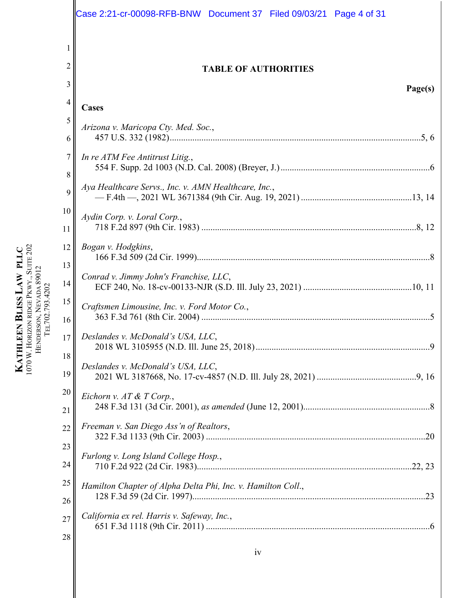|                 | Case 2:21-cr-00098-RFB-BNW Document 37 Filed 09/03/21 Page 4 of 31 |
|-----------------|--------------------------------------------------------------------|
|                 |                                                                    |
|                 |                                                                    |
| 2               | <b>TABLE OF AUTHORITIES</b>                                        |
| 3               | Page(s)                                                            |
| $\overline{4}$  | Cases                                                              |
| 5<br>6          | Arizona v. Maricopa Cty. Med. Soc.,                                |
| 7<br>8          | In re ATM Fee Antitrust Litig.,                                    |
| 9               | Aya Healthcare Servs., Inc. v. AMN Healthcare, Inc.,               |
| 10              | Aydin Corp. v. Loral Corp.,                                        |
| 11              |                                                                    |
| 12              | Bogan v. Hodgkins,                                                 |
| 13<br>14        | Conrad v. Jimmy John's Franchise, LLC,                             |
| 15<br>16        | Craftsmen Limousine, Inc. v. Ford Motor Co.,                       |
| 17 <sub>l</sub> | Deslandes v. McDonald's USA, LLC,                                  |
| 18<br>19        | Deslandes v. McDonald's USA, LLC,                                  |
| 20<br>21        | Eichorn v. AT & T Corp.,                                           |
| 22              | Freeman v. San Diego Ass'n of Realtors,                            |
| 23              | Furlong v. Long Island College Hosp.,                              |
| 24              |                                                                    |
| 25              | Hamilton Chapter of Alpha Delta Phi, Inc. v. Hamilton Coll.,       |
| 26              |                                                                    |
| 27              | California ex rel. Harris v. Safeway, Inc.,                        |
| 28              |                                                                    |

**KATHLEEN BLISS LAW PLLC**  $1070$  W. HORIZON RIDGE PKWY., SUITE 202 HENDERSON, NEVADA 89012 TEL702.793.4202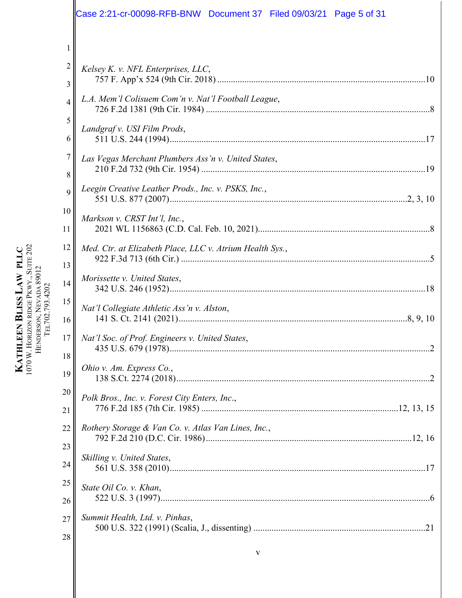|                | Case 2:21-cr-00098-RFB-BNW Document 37 Filed 09/03/21 Page 5 of 31 |
|----------------|--------------------------------------------------------------------|
| 1              |                                                                    |
| $\overline{2}$ | Kelsey K. v. NFL Enterprises, LLC,                                 |
| 3              |                                                                    |
| 4              | L.A. Mem'l Colisuem Com'n v. Nat'l Football League,                |
| 5              | Landgraf v. USI Film Prods,                                        |
| 6              |                                                                    |
| 7              | Las Vegas Merchant Plumbers Ass'n v. United States,                |
| 8              |                                                                    |
| 9              | Leegin Creative Leather Prods., Inc. v. PSKS, Inc.,                |
| 10             | Markson v. CRST Int'l, Inc.,                                       |
| 11             |                                                                    |
| 12             | Med. Ctr. at Elizabeth Place, LLC v. Atrium Health Sys.,           |
| 13             |                                                                    |
| 14             | Morissette v. United States,                                       |
| 15             | Nat'l Collegiate Athletic Ass'n v. Alston,                         |
| 16             |                                                                    |
| 17             | Nat'l Soc. of Prof. Engineers v. United States,                    |
| 18             |                                                                    |
| 19             | Ohio v. Am. Express Co.,                                           |
| 20             | Polk Bros., Inc. v. Forest City Enters, Inc.,                      |
| 21             |                                                                    |
| 22             | Rothery Storage & Van Co. v. Atlas Van Lines, Inc.,                |
| 23             |                                                                    |
| 24             | Skilling v. United States,                                         |
| 25             | State Oil Co. v. Khan,                                             |
| 26             |                                                                    |
| 27             | Summit Health, Ltd. v. Pinhas,                                     |
| 28             |                                                                    |
|                |                                                                    |

**KATHLEEN BLISS LAW PLLC** HORIZON RIDGE PKWY., SUITE 202 HENDERSON, NEVADA 89012 TEL702.793.4202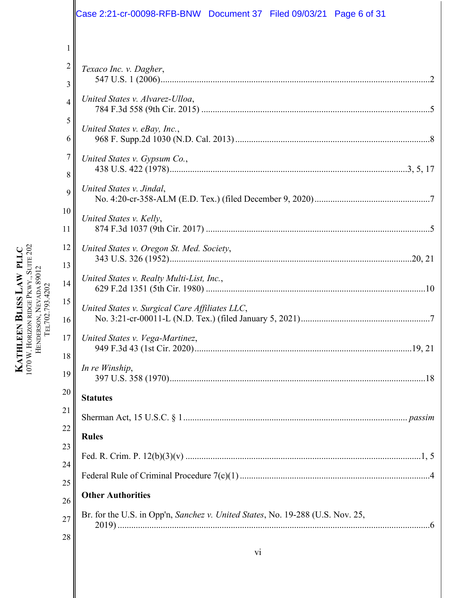|                     | Case 2:21-cr-00098-RFB-BNW Document 37 Filed 09/03/21 Page 6 of 31             |
|---------------------|--------------------------------------------------------------------------------|
| 1                   |                                                                                |
| $\overline{c}$<br>3 | Texaco Inc. v. Dagher,                                                         |
| 4                   | United States v. Alvarez-Ulloa,                                                |
| 5<br>6              | United States v. eBay, Inc.,                                                   |
| 7                   | United States v. Gypsum Co.,                                                   |
| 8<br>9              | United States v. Jindal,                                                       |
| 10<br>11            | United States v. Kelly,                                                        |
| 12                  | United States v. Oregon St. Med. Society,                                      |
| 13<br>14            | United States v. Realty Multi-List, Inc.,                                      |
| 15<br>16            | United States v. Surgical Care Affiliates LLC,                                 |
| 17 <sub>1</sub>     | United States v. Vega-Martinez                                                 |
| 18<br>19            | In re Winship,                                                                 |
| 20                  | <b>Statutes</b>                                                                |
| 21                  |                                                                                |
| 22<br>23            | <b>Rules</b>                                                                   |
| 24                  |                                                                                |
| 25                  |                                                                                |
| 26                  | <b>Other Authorities</b>                                                       |
| 27                  | Br. for the U.S. in Opp'n, Sanchez v. United States, No. 19-288 (U.S. Nov. 25, |
| 28                  |                                                                                |

**KATHLEEN BLISS LAW PLLC**  $1070$  W. HORIZON RIDGE PKWY., SUITE 202 HENDERSON, NEVADA 89012 TEL702.793.4202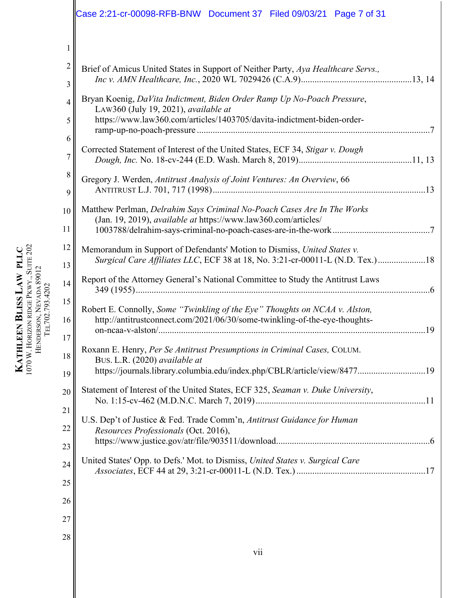|                | Case 2:21-cr-00098-RFB-BNW Document 37 Filed 09/03/21 Page 7 of 31                                                                                                                    |
|----------------|---------------------------------------------------------------------------------------------------------------------------------------------------------------------------------------|
| $\mathbf{1}$   |                                                                                                                                                                                       |
| 2<br>3         | Brief of Amicus United States in Support of Neither Party, Aya Healthcare Servs.,                                                                                                     |
| 4              | Bryan Koenig, DaVita Indictment, Biden Order Ramp Up No-Poach Pressure,<br>LAW360 (July 19, 2021), available at                                                                       |
| 5<br>6         | https://www.law360.com/articles/1403705/davita-indictment-biden-order-                                                                                                                |
| $\overline{7}$ | Corrected Statement of Interest of the United States, ECF 34, Stigar v. Dough                                                                                                         |
| 8<br>9         | Gregory J. Werden, Antitrust Analysis of Joint Ventures: An Overview, 66                                                                                                              |
| 10             | Matthew Perlman, Delrahim Says Criminal No-Poach Cases Are In The Works<br>(Jan. 19, 2019), available at https://www.law360.com/articles/                                             |
| 11<br>12       | Memorandum in Support of Defendants' Motion to Dismiss, United States v.                                                                                                              |
| 13             | Surgical Care Affiliates LLC, ECF 38 at 18, No. 3:21-cr-00011-L (N.D. Tex.)18<br>Report of the Attorney General's National Committee to Study the Antitrust Laws                      |
| 14<br>15       |                                                                                                                                                                                       |
| 16<br>17       | Robert E. Connolly, Some "Twinkling of the Eye" Thoughts on NCAA v. Alston,<br>http://antitrustconnect.com/2021/06/30/some-twinkling-of-the-eye-thoughts-                             |
| 18<br>19       | Roxann E. Henry, Per Se Antitrust Presumptions in Criminal Cases, COLUM.<br>BUS. L.R. (2020) available at<br>https://journals.library.columbia.edu/index.php/CBLR/article/view/847719 |
| 20             | Statement of Interest of the United States, ECF 325, Seaman v. Duke University,                                                                                                       |
| 21<br>22       | U.S. Dep't of Justice & Fed. Trade Comm'n, Antitrust Guidance for Human<br>Resources Professionals (Oct. 2016),                                                                       |
| 23<br>24       | United States' Opp. to Defs.' Mot. to Dismiss, United States v. Surgical Care                                                                                                         |
| 25             |                                                                                                                                                                                       |
| 26<br>27       |                                                                                                                                                                                       |
| 28             | vii                                                                                                                                                                                   |
|                |                                                                                                                                                                                       |

**KATHLEEN BLISS LAW PLLC**  $1070$  W. HORIZON RIDGE PKWY., SUITE 202 HENDERSON, NEVADA 89012 TEL702.793.4202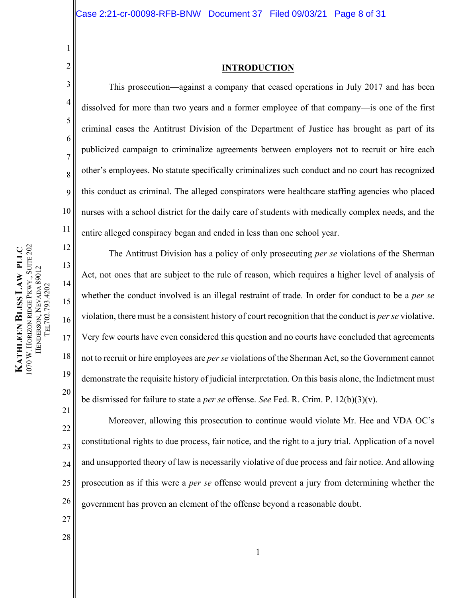<span id="page-7-0"></span>2 3

4

5

6

7

8

9

10

11

12

13

14

15

16

17

18

19

20

1

# <span id="page-7-1"></span>**INTRODUCTION**

This prosecution—against a company that ceased operations in July 2017 and has been dissolved for more than two years and a former employee of that company—is one of the first criminal cases the Antitrust Division of the Department of Justice has brought as part of its publicized campaign to criminalize agreements between employers not to recruit or hire each other's employees. No statute specifically criminalizes such conduct and no court has recognized this conduct as criminal. The alleged conspirators were healthcare staffing agencies who placed nurses with a school district for the daily care of students with medically complex needs, and the entire alleged conspiracy began and ended in less than one school year.

The Antitrust Division has a policy of only prosecuting *per se* violations of the Sherman Act, not ones that are subject to the rule of reason, which requires a higher level of analysis of whether the conduct involved is an illegal restraint of trade. In order for conduct to be a *per se* violation, there must be a consistent history of court recognition that the conduct is *per se* violative. Very few courts have even considered this question and no courts have concluded that agreements not to recruit or hire employees are *per se* violations of the Sherman Act, so the Government cannot demonstrate the requisite history of judicial interpretation. On this basis alone, the Indictment must be dismissed for failure to state a *per se* offense. *See* Fed. R. Crim. P. 12(b)(3)(v).

<span id="page-7-2"></span>Moreover, allowing this prosecution to continue would violate Mr. Hee and VDA OC's constitutional rights to due process, fair notice, and the right to a jury trial. Application of a novel and unsupported theory of law is necessarily violative of due process and fair notice. And allowing prosecution as if this were a *per se* offense would prevent a jury from determining whether the government has proven an element of the offense beyond a reasonable doubt.

070 W. HORIZON RIDGE PKWY., SUITE 202 PKWY., SUITE 202 **KATHLEEN BLISS LAW PLLC LAW PLLC** HENDERSON, NEVADA 89012 HENDERSON, NEVADA 89012 TEL702.793.4202 TEL702.793.4202 HORIZON RIDGE **KATHLEEN**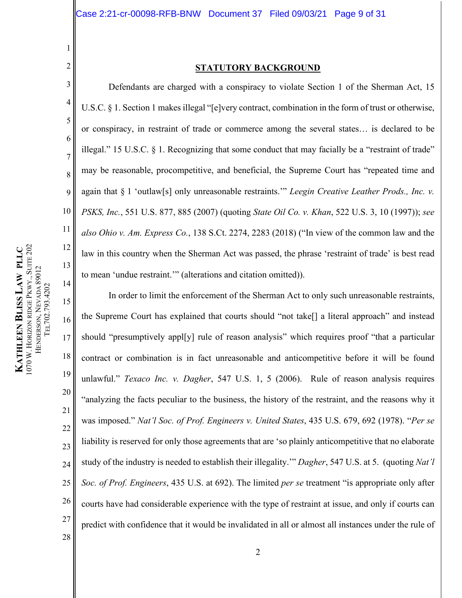4

5

6

7

8

9

10

<span id="page-8-3"></span>11

12

13

14

<span id="page-8-2"></span>28

1

## <span id="page-8-1"></span>**STATUTORY BACKGROUND**

<span id="page-8-0"></span>Defendants are charged with a conspiracy to violate Section 1 of the Sherman Act, 15 U.S.C. § 1. Section 1 makes illegal "[e]very contract, combination in the form of trust or otherwise, or conspiracy, in restraint of trade or commerce among the several states… is declared to be illegal." 15 U.S.C. § 1. Recognizing that some conduct that may facially be a "restraint of trade" may be reasonable, procompetitive, and beneficial, the Supreme Court has "repeated time and again that § 1 'outlaw[s] only unreasonable restraints.'" *Leegin Creative Leather Prods., Inc. v. PSKS, Inc.*, 551 U.S. 877, 885 (2007) (quoting *State Oil Co. v. Khan*, 522 U.S. 3, 10 (1997)); *see also Ohio v. Am. Express Co.*, 138 S.Ct. 2274, 2283 (2018) ("In view of the common law and the law in this country when the Sherman Act was passed, the phrase 'restraint of trade' is best read to mean 'undue restraint.'" (alterations and citation omitted)).

<span id="page-8-4"></span>15 16 17 18 19 20 21 22 23 24 25 26 27 In order to limit the enforcement of the Sherman Act to only such unreasonable restraints, the Supreme Court has explained that courts should "not take[] a literal approach" and instead should "presumptively appl[y] rule of reason analysis" which requires proof "that a particular contract or combination is in fact unreasonable and anticompetitive before it will be found unlawful." *Texaco Inc. v. Dagher*, 547 U.S. 1, 5 (2006). Rule of reason analysis requires "analyzing the facts peculiar to the business, the history of the restraint, and the reasons why it was imposed." *Nat'l Soc. of Prof. Engineers v. United States*, 435 U.S. 679, 692 (1978). "*Per se*  liability is reserved for only those agreements that are 'so plainly anticompetitive that no elaborate study of the industry is needed to establish their illegality.'" *Dagher*, 547 U.S. at 5. (quoting *Nat'l Soc. of Prof. Engineers*, 435 U.S. at 692). The limited *per se* treatment "is appropriate only after courts have had considerable experience with the type of restraint at issue, and only if courts can predict with confidence that it would be invalidated in all or almost all instances under the rule of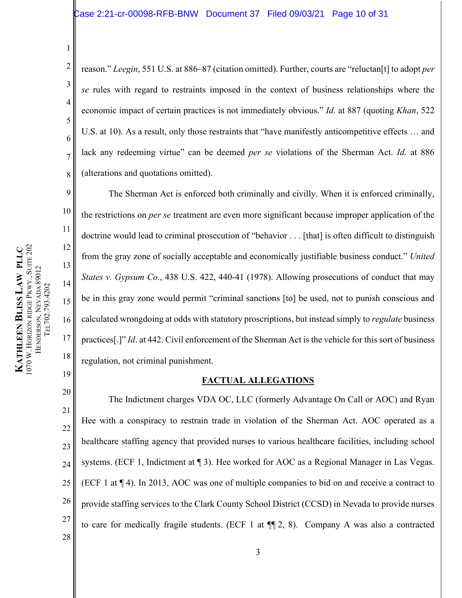<span id="page-9-1"></span>2 5 8 reason." *Leegin*, 551 U.S. at 886–87 (citation omitted). Further, courts are "reluctan[t] to adopt *per se* rules with regard to restraints imposed in the context of business relationships where the economic impact of certain practices is not immediately obvious." *Id.* at 887 (quoting *Khan*, 522 U.S. at 10). As a result, only those restraints that "have manifestly anticompetitive effects … and lack any redeeming virtue" can be deemed *per se* violations of the Sherman Act. *Id.* at 886 (alterations and quotations omitted).

1070 W. HORIZON RIDGE PKWY., SUITE 202 PKWY., SUITE 202 **KATHLEEN BLISS LAW PLLC LAW PLLC** HENDERSON, NEVADA 89012 HENDERSON, NEVADA 89012 TEL702.793.4202 TEL702.793.4202 HORIZON RIDGE **KATHLEEN** 

1

3

4

6

7

9

10

11

12

13

14

15

16

17

18

<span id="page-9-0"></span>19

The Sherman Act is enforced both criminally and civilly. When it is enforced criminally, the restrictions on *per se* treatment are even more significant because improper application of the doctrine would lead to criminal prosecution of "behavior . . . [that] is often difficult to distinguish from the gray zone of socially acceptable and economically justifiable business conduct." *United States v. Gypsum Co.*, 438 U.S. 422, 440-41 (1978). Allowing prosecutions of conduct that may be in this gray zone would permit "criminal sanctions [to] be used, not to punish conscious and calculated wrongdoing at odds with statutory proscriptions, but instead simply to *regulate* business practices[.]" *Id*. at 442. Civil enforcement of the Sherman Act is the vehicle for this sort of business regulation, not criminal punishment.

# <span id="page-9-2"></span>**FACTUAL ALLEGATIONS**

20 21 22 23 24 25 26 27 The Indictment charges VDA OC, LLC (formerly Advantage On Call or AOC) and Ryan Hee with a conspiracy to restrain trade in violation of the Sherman Act. AOC operated as a healthcare staffing agency that provided nurses to various healthcare facilities, including school systems. (ECF 1, Indictment at ¶ 3). Hee worked for AOC as a Regional Manager in Las Vegas. (ECF 1 at ¶ 4). In 2013, AOC was one of multiple companies to bid on and receive a contract to provide staffing services to the Clark County School District (CCSD) in Nevada to provide nurses to care for medically fragile students. (ECF 1 at ¶¶ 2, 8). Company A was also a contracted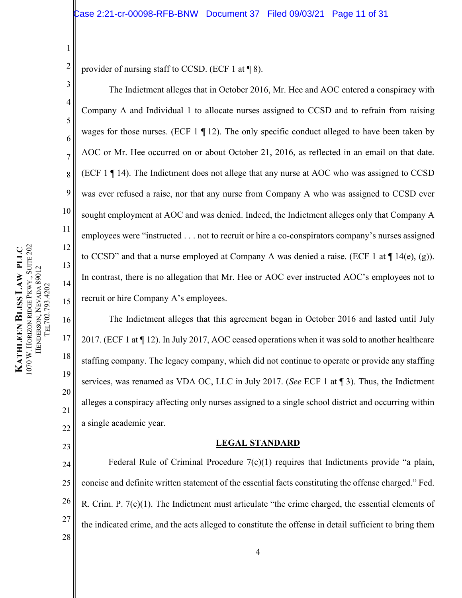2 provider of nursing staff to CCSD. (ECF 1 at  $\P$  8).

The Indictment alleges that in October 2016, Mr. Hee and AOC entered a conspiracy with Company A and Individual 1 to allocate nurses assigned to CCSD and to refrain from raising wages for those nurses. (ECF  $1 \nvert 12$ ). The only specific conduct alleged to have been taken by AOC or Mr. Hee occurred on or about October 21, 2016, as reflected in an email on that date. (ECF 1 ¶ 14). The Indictment does not allege that any nurse at AOC who was assigned to CCSD was ever refused a raise, nor that any nurse from Company A who was assigned to CCSD ever sought employment at AOC and was denied. Indeed, the Indictment alleges only that Company A employees were "instructed . . . not to recruit or hire a co-conspirators company's nurses assigned to CCSD" and that a nurse employed at Company A was denied a raise. (ECF 1 at  $\P$  14(e), (g)). In contrast, there is no allegation that Mr. Hee or AOC ever instructed AOC's employees not to recruit or hire Company A's employees.

The Indictment alleges that this agreement began in October 2016 and lasted until July 2017. (ECF 1 at ¶ 12). In July 2017, AOC ceased operations when it was sold to another healthcare staffing company. The legacy company, which did not continue to operate or provide any staffing services, was renamed as VDA OC, LLC in July 2017. (*See* ECF 1 at ¶ 3). Thus, the Indictment alleges a conspiracy affecting only nurses assigned to a single school district and occurring within a single academic year.

#### **LEGAL STANDARD**

<span id="page-10-1"></span>24 25 26 27 28 Federal Rule of Criminal Procedure  $7(c)(1)$  requires that Indictments provide "a plain, concise and definite written statement of the essential facts constituting the offense charged." Fed. R. Crim. P. 7(c)(1). The Indictment must articulate "the crime charged, the essential elements of the indicated crime, and the acts alleged to constitute the offense in detail sufficient to bring them

1

3

4

5

6

7

8

9

10

11

12

13

14

15

16

17

18

19

20

21

<span id="page-10-0"></span>22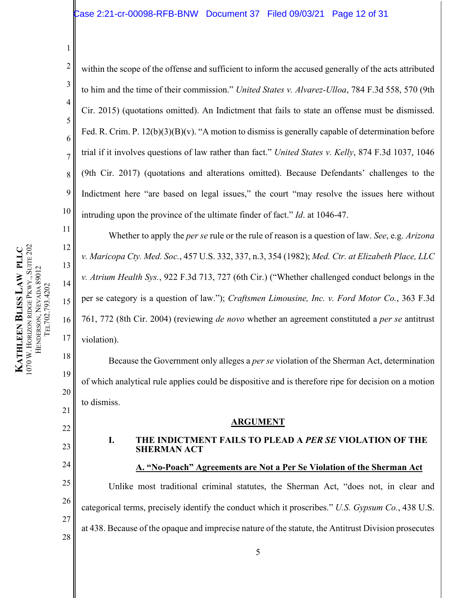<span id="page-11-9"></span>2 3 4 5 6 7 8 9 10 within the scope of the offense and sufficient to inform the accused generally of the acts attributed to him and the time of their commission." *United States v. Alvarez-Ulloa*, 784 F.3d 558, 570 (9th Cir. 2015) (quotations omitted). An Indictment that fails to state an offense must be dismissed. Fed. R. Crim. P. 12(b)(3)(B)(v). "A motion to dismiss is generally capable of determination before trial if it involves questions of law rather than fact." *United States v. Kelly*, 874 F.3d 1037, 1046 (9th Cir. 2017) (quotations and alterations omitted). Because Defendants' challenges to the Indictment here "are based on legal issues," the court "may resolve the issues here without intruding upon the province of the ultimate finder of fact." *Id*. at 1046-47.

<span id="page-11-8"></span>Whether to apply the *per se* rule or the rule of reason is a question of law. *See*, e.g. *Arizona v. Maricopa Cty. Med. Soc.*, 457 U.S. 332, 337, n.3, 354 (1982); *Med. Ctr. at Elizabeth Place, LLC v. Atrium Health Sys.*, 922 F.3d 713, 727 (6th Cir.) ("Whether challenged conduct belongs in the per se category is a question of law."); *Craftsmen Limousine, Inc. v. Ford Motor Co.*, 363 F.3d 761, 772 (8th Cir. 2004) (reviewing *de novo* whether an agreement constituted a *per se* antitrust violation).

Because the Government only alleges a *per se* violation of the Sherman Act, determination of which analytical rule applies could be dispositive and is therefore ripe for decision on a motion to dismiss.

#### <span id="page-11-7"></span><span id="page-11-5"></span><span id="page-11-4"></span><span id="page-11-3"></span>**ARGUMENT**

# **I. THE INDICTMENT FAILS TO PLEAD A** *PER SE* **VIOLATION OF THE SHERMAN ACT**

# **A. "No-Poach" Agreements are Not a Per Se Violation of the Sherman Act**

Unlike most traditional criminal statutes, the Sherman Act, "does not, in clear and categorical terms, precisely identify the conduct which it proscribes." *U.S. Gypsum Co.*, 438 U.S. at 438. Because of the opaque and imprecise nature of the statute, the Antitrust Division prosecutes

<span id="page-11-6"></span>1

11

12

13

14

15

16

17

18

19

20

21

<span id="page-11-0"></span>22

<span id="page-11-1"></span>23

<span id="page-11-2"></span>24

25

26

27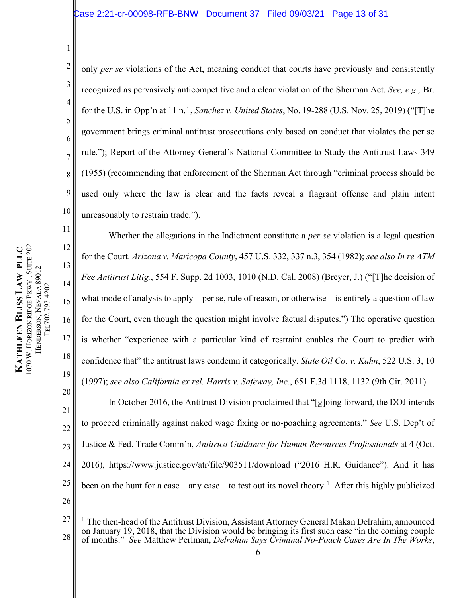2 3 5 8 9 10 only *per se* violations of the Act, meaning conduct that courts have previously and consistently recognized as pervasively anticompetitive and a clear violation of the Sherman Act. *See, e.g.,* Br. for the U.S. in Opp'n at 11 n.1, *Sanchez v. United States*, No. 19-288 (U.S. Nov. 25, 2019) ("[T]he government brings criminal antitrust prosecutions only based on conduct that violates the per se rule."); Report of the Attorney General's National Committee to Study the Antitrust Laws 349 (1955) (recommending that enforcement of the Sherman Act through "criminal process should be used only where the law is clear and the facts reveal a flagrant offense and plain intent unreasonably to restrain trade.").

<span id="page-12-1"></span><span id="page-12-0"></span>Whether the allegations in the Indictment constitute a *per se* violation is a legal question for the Court. *Arizona v. Maricopa County*, 457 U.S. 332, 337 n.3, 354 (1982); *see also In re ATM Fee Antitrust Litig.*, 554 F. Supp. 2d 1003, 1010 (N.D. Cal. 2008) (Breyer, J.) ("[T]he decision of what mode of analysis to apply—per se, rule of reason, or otherwise—is entirely a question of law for the Court, even though the question might involve factual disputes.") The operative question is whether "experience with a particular kind of restraint enables the Court to predict with confidence that" the antitrust laws condemn it categorically. *State Oil Co. v. Kahn*, 522 U.S. 3, 10 (1997); *see also California ex rel. Harris v. Safeway, Inc.*, 651 F.3d 1118, 1132 (9th Cir. 2011).

<span id="page-12-7"></span><span id="page-12-2"></span>20 21 22 23 24 25 26 In October 2016, the Antitrust Division proclaimed that "[g]oing forward, the DOJ intends to proceed criminally against naked wage fixing or no-poaching agreements." *See* U.S. Dep't of Justice & Fed. Trade Comm'n, *Antitrust Guidance for Human Resources Professionals* at 4 (Oct. 2016), https://www.justice.gov/atr/file/903511/download ("2016 H.R. Guidance"). And it has been on the hunt for a case—any case—to test out its novel theory.<sup>[1](#page-12-8)</sup> After this highly publicized

1

<span id="page-12-4"></span>4

6

<span id="page-12-6"></span>7

11

12

13

14

15

16

17

<span id="page-12-3"></span>18

<span id="page-12-8"></span><span id="page-12-5"></span><sup>27</sup> 28 <sup>1</sup> The then-head of the Antitrust Division, Assistant Attorney General Makan Delrahim, announced on January 19, 2018, that the Division would be bringing its first such case "in the coming couple of months." *See* Matthew Perlman, *Delrahim Says Criminal No-Poach Cases Are In The Works*,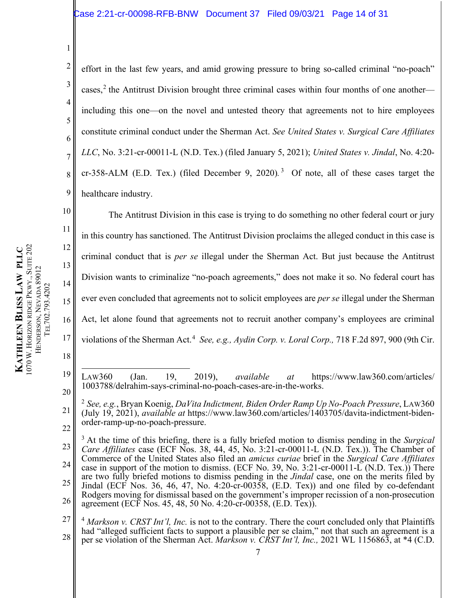11 12 1070 W. HORIZON RIDGE PKWY., SUITE 202 PKWY., SUITE 202 **KATHLEEN BLISS LAW PLLC LAW PLLC** 13 HENDERSON, NEVADA 89012 HENDERSON, NEVADA 89012 TEL702.793.4202 TEL702.793.4202 15 HORIZON RIDGE 16 **KATHLEEN**  17 18

1

10

14

<span id="page-13-3"></span>2 3 4 5 6 7 8 9 effort in the last few years, and amid growing pressure to bring so-called criminal "no-poach" cases,<sup>[2](#page-13-5)</sup> the Antitrust Division brought three criminal cases within four months of one anotherincluding this one—on the novel and untested theory that agreements not to hire employees constitute criminal conduct under the Sherman Act. *See United States v. Surgical Care Affiliates LLC*, No. 3:21-cr-00011-L (N.D. Tex.) (filed January 5, 2021); *United States v. Jindal*, No. 4:20- cr-[3](#page-13-6)58-ALM (E.D. Tex.) (filed December 9, 2020).<sup>3</sup> Of note, all of these cases target the healthcare industry.

<span id="page-13-2"></span>The Antitrust Division in this case is trying to do something no other federal court or jury in this country has sanctioned. The Antitrust Division proclaims the alleged conduct in this case is criminal conduct that is *per se* illegal under the Sherman Act. But just because the Antitrust Division wants to criminalize "no-poach agreements," does not make it so. No federal court has ever even concluded that agreements not to solicit employees are *per se* illegal under the Sherman Act, let alone found that agreements not to recruit another company's employees are criminal violations of the Sherman Act.<sup>[4](#page-13-7)</sup> See, e.g., Aydin Corp. v. Loral Corp., 718 F.2d 897, 900 (9th Cir.

<span id="page-13-0"></span><sup>19</sup> 20 LAW360 (Jan. 19, 2019), *available at* https://www.law360.com/articles/ 1003788/delrahim-says-criminal-no-poach-cases-are-in-the-works.

<span id="page-13-5"></span><span id="page-13-4"></span><sup>21</sup> 22 <sup>2</sup> *See, e.g.*, Bryan Koenig, *DaVita Indictment, Biden Order Ramp Up No-Poach Pressure*, LAW360 (July 19, 2021), *available at* https://www.law360.com/articles/1403705/davita-indictment-bidenorder-ramp-up-no-poach-pressure.

<span id="page-13-6"></span><sup>23</sup> 24 25 26 <sup>3</sup> At the time of this briefing, there is a fully briefed motion to dismiss pending in the *Surgical Care Affiliates* case (ECF Nos. 38, 44, 45, No. 3:21-cr-00011-L (N.D. Tex.)). The Chamber of Commerce of the United States also filed an *amicus curiae* brief in the *Surgical Care Affiliates*  case in support of the motion to dismiss. (ECF No. 39, No. 3:21-cr-00011-L (N.D. Tex.)) There are two fully briefed motions to dismiss pending in the *Jindal* case, one on the merits filed by Jindal (ECF Nos. 36, 46, 47, No. 4:20-cr-00358, (E.D. Tex)) and one filed by co-defendant Rodgers moving for dismissal based on the government's improper recission of a non-prosecution agreement (ECF Nos. 45, 48, 50 No. 4:20-cr-00358, (E.D. Tex)).

<span id="page-13-7"></span><span id="page-13-1"></span><sup>27</sup> 28 <sup>4</sup> Markson v. CRST Int'l, Inc. is not to the contrary. There the court concluded only that Plaintiffs had "alleged sufficient facts to support a plausible per se claim," not that such an agreement is a per se violation of the Sherman Act. *Markson v. CRST Int'l, Inc.,* 2021 WL 1156863, at \*4 (C.D.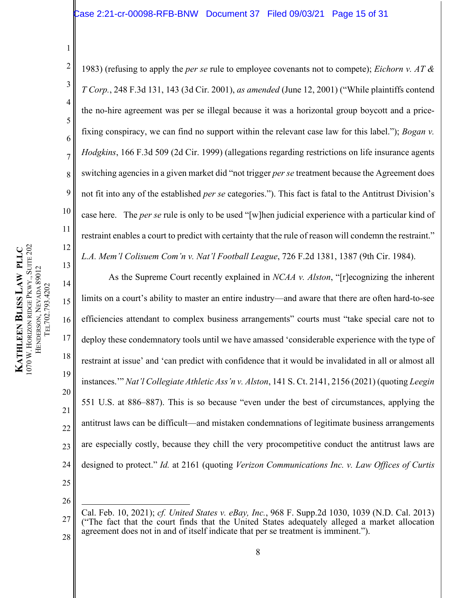<span id="page-14-1"></span><span id="page-14-0"></span>2 3 4 5 6 7 8 9 10 11 12 1983) (refusing to apply the *per se* rule to employee covenants not to compete); *Eichorn v. AT & T Corp.*, 248 F.3d 131, 143 (3d Cir. 2001), *as amended* (June 12, 2001) ("While plaintiffs contend the no-hire agreement was per se illegal because it was a horizontal group boycott and a pricefixing conspiracy, we can find no support within the relevant case law for this label."); *Bogan v. Hodgkins*, 166 F.3d 509 (2d Cir. 1999) (allegations regarding restrictions on life insurance agents switching agencies in a given market did "not trigger *per se* treatment because the Agreement does not fit into any of the established *per se* categories."). This fact is fatal to the Antitrust Division's case here. The *per se* rule is only to be used "[w]hen judicial experience with a particular kind of restraint enables a court to predict with certainty that the rule of reason will condemn the restraint." *L.A. Mem'l Colisuem Com'n v. Nat'l Football League*, 726 F.2d 1381, 1387 (9th Cir. 1984).

<span id="page-14-2"></span>As the Supreme Court recently explained in *NCAA v. Alston*, "[r]ecognizing the inherent limits on a court's ability to master an entire industry—and aware that there are often hard-to-see efficiencies attendant to complex business arrangements" courts must "take special care not to deploy these condemnatory tools until we have amassed 'considerable experience with the type of restraint at issue' and 'can predict with confidence that it would be invalidated in all or almost all instances.'" *Nat'l Collegiate Athletic Ass'n v. Alston*, 141 S. Ct. 2141, 2156 (2021) (quoting *Leegin*  551 U.S. at 886–887). This is so because "even under the best of circumstances, applying the antitrust laws can be difficult—and mistaken condemnations of legitimate business arrangements are especially costly, because they chill the very procompetitive conduct the antitrust laws are designed to protect." *Id.* at 2161 (quoting *Verizon Communications Inc. v. Law Offices of Curtis* 

13

14

15

16

17

18

<span id="page-14-3"></span>19

20

21

22

23

<span id="page-14-4"></span>24

25

26

<span id="page-14-5"></span><sup>27</sup> 28 Cal. Feb. 10, 2021); *cf. United States v. eBay, Inc.*, 968 F. Supp.2d 1030, 1039 (N.D. Cal. 2013) ("The fact that the court finds that the United States adequately alleged a market allocation agreement does not in and of itself indicate that per se treatment is imminent.").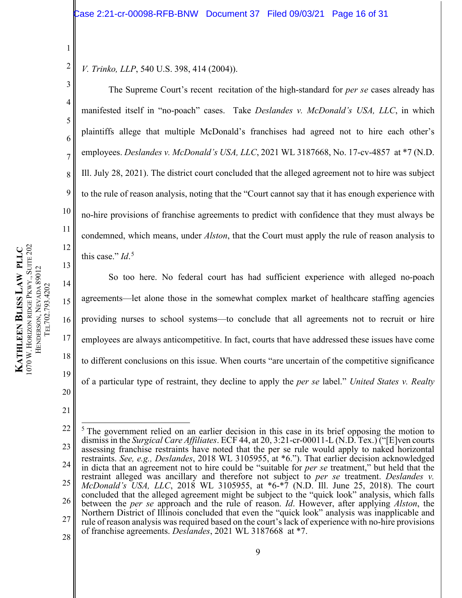2 *V. Trinko, LLP*, 540 U.S. 398, 414 (2004)).

<span id="page-15-1"></span>The Supreme Court's recent recitation of the high-standard for *per se* cases already has manifested itself in "no-poach" cases. Take *Deslandes v. McDonald's USA, LLC*, in which plaintiffs allege that multiple McDonald's franchises had agreed not to hire each other's employees. *Deslandes v. McDonald's USA, LLC*, 2021 WL 3187668, No. 17-cv-4857 at \*7 (N.D. Ill. July 28, 2021). The district court concluded that the alleged agreement not to hire was subject to the rule of reason analysis, noting that the "Court cannot say that it has enough experience with no-hire provisions of franchise agreements to predict with confidence that they must always be condemned, which means, under *Alston*, that the Court must apply the rule of reason analysis to this case." *Id*. [5](#page-15-3)

So too here. No federal court has had sufficient experience with alleged no-poach agreements—let alone those in the somewhat complex market of healthcare staffing agencies providing nurses to school systems—to conclude that all agreements not to recruit or hire employees are always anticompetitive. In fact, courts that have addressed these issues have come to different conclusions on this issue. When courts "are uncertain of the competitive significance of a particular type of restraint, they decline to apply the *per se* label." *United States v. Realty* 

21

1

3

4

5

6

7

8

9

10

11

12

13

14

15

16

17

18

<span id="page-15-2"></span>19

<span id="page-15-3"></span><span id="page-15-0"></span><sup>22</sup> 23 24 25 26 27 28  $<sup>5</sup>$  The government relied on an earlier decision in this case in its brief opposing the motion to</sup> dismiss in the *Surgical Care Affiliates*. ECF 44, at 20, 3:21-cr-00011-L (N.D. Tex.) ("[E]ven courts assessing franchise restraints have noted that the per se rule would apply to naked horizontal restraints. *See, e.g., Deslandes*, 2018 WL 3105955, at \*6."). That earlier decision acknowledged in dicta that an agreement not to hire could be "suitable for *per se* treatment," but held that the restraint alleged was ancillary and therefore not subject to *per se* treatment. *Deslandes v. McDonald's USA, LLC*, 2018 WL 3105955, at \*6-\*7 (N.D. Ill. June 25, 2018). The court concluded that the alleged agreement might be subject to the "quick look" analysis, which falls between the *per se* approach and the rule of reason. *Id*. However, after applying *Alston*, the Northern District of Illinois concluded that even the "quick look" analysis was inapplicable and rule of reason analysis was required based on the court's lack of experience with no-hire provisions of franchise agreements. *Deslandes*, 2021 WL 3187668 at \*7.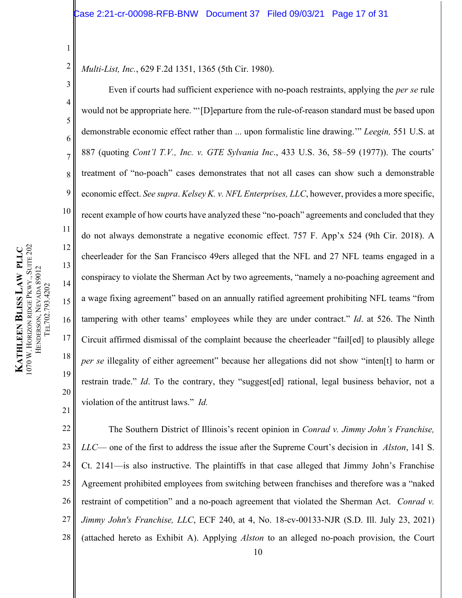2 *Multi-List, Inc.*, 629 F.2d 1351, 1365 (5th Cir. 1980).

<span id="page-16-3"></span>Even if courts had sufficient experience with no-poach restraints, applying the *per se* rule would not be appropriate here. "'[D]eparture from the rule-of-reason standard must be based upon demonstrable economic effect rather than ... upon formalistic line drawing.'" *Leegin,* 551 U.S. at 887 (quoting *Cont'l T.V., Inc. v. GTE Sylvania Inc*., 433 U.S. 36, 58–59 (1977)). The courts' treatment of "no-poach" cases demonstrates that not all cases can show such a demonstrable economic effect. *See supra*. *Kelsey K. v. NFL Enterprises, LLC*, however, provides a more specific, recent example of how courts have analyzed these "no-poach" agreements and concluded that they do not always demonstrate a negative economic effect. 757 F. App'x 524 (9th Cir. 2018). A cheerleader for the San Francisco 49ers alleged that the NFL and 27 NFL teams engaged in a conspiracy to violate the Sherman Act by two agreements, "namely a no-poaching agreement and a wage fixing agreement" based on an annually ratified agreement prohibiting NFL teams "from tampering with other teams' employees while they are under contract." *Id*. at 526. The Ninth Circuit affirmed dismissal of the complaint because the cheerleader "fail[ed] to plausibly allege *per se* illegality of either agreement" because her allegations did not show "inten<sup>[t]</sup> to harm or restrain trade." *Id*. To the contrary, they "suggest[ed] rational, legal business behavior, not a violation of the antitrust laws." *Id.*

<span id="page-16-4"></span><span id="page-16-1"></span><span id="page-16-0"></span>22 23 24 25 26 27 28 The Southern District of Illinois's recent opinion in *Conrad v. Jimmy John's Franchise, LLC*— one of the first to address the issue after the Supreme Court's decision in *Alston*, 141 S. Ct. 2141—is also instructive. The plaintiffs in that case alleged that Jimmy John's Franchise Agreement prohibited employees from switching between franchises and therefore was a "naked restraint of competition" and a no-poach agreement that violated the Sherman Act. *Conrad v. Jimmy John's Franchise, LLC*, ECF 240, at 4, No. 18-cv-00133-NJR (S.D. Ill. July 23, 2021) (attached hereto as Exhibit A). Applying *Alston* to an alleged no-poach provision, the Court

1

3

4

5

6

7

8

<span id="page-16-2"></span>9

10

11

12

13

14

15

16

17

18

19

20

21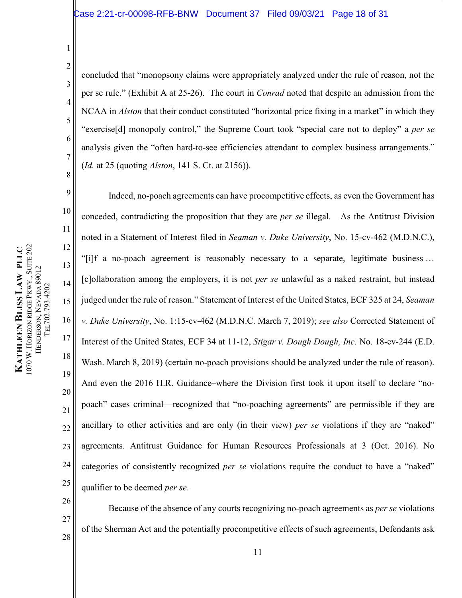concluded that "monopsony claims were appropriately analyzed under the rule of reason, not the per se rule." (Exhibit A at 25-26). The court in *Conrad* noted that despite an admission from the NCAA in *Alston* that their conduct constituted "horizontal price fixing in a market" in which they "exercise[d] monopoly control," the Supreme Court took "special care not to deploy" a *per se*  analysis given the "often hard-to-see efficiencies attendant to complex business arrangements." (*Id.* at 25 (quoting *Alston*, 141 S. Ct. at 2156)).

Indeed, no-poach agreements can have procompetitive effects, as even the Government has conceded, contradicting the proposition that they are *per se* illegal. As the Antitrust Division noted in a Statement of Interest filed in *Seaman v. Duke University*, No. 15-cv-462 (M.D.N.C.), "[i]f a no-poach agreement is reasonably necessary to a separate, legitimate business … [c]ollaboration among the employers, it is not *per se* unlawful as a naked restraint, but instead judged under the rule of reason." Statement of Interest of the United States, ECF 325 at 24, *Seaman v. Duke University*, No. 1:15-cv-462 (M.D.N.C. March 7, 2019); *see also* Corrected Statement of Interest of the United States, ECF 34 at 11-12, *Stigar v. Dough Dough, Inc.* No. 18-cv-244 (E.D. Wash. March 8, 2019) (certain no-poach provisions should be analyzed under the rule of reason). And even the 2016 H.R. Guidance–where the Division first took it upon itself to declare "nopoach" cases criminal—recognized that "no-poaching agreements" are permissible if they are ancillary to other activities and are only (in their view) *per se* violations if they are "naked" agreements. Antitrust Guidance for Human Resources Professionals at 3 (Oct. 2016). No categories of consistently recognized *per se* violations require the conduct to have a "naked" qualifier to be deemed *per se*.

26 27 Because of the absence of any courts recognizing no-poach agreements as *per se* violations of the Sherman Act and the potentially procompetitive effects of such agreements, Defendants ask

1

2

3

4

5

6

7

8

9

10

11

12

13

14

<span id="page-17-1"></span>15

16

17

18

19

20

21

22

23

24

25

28

<span id="page-17-0"></span>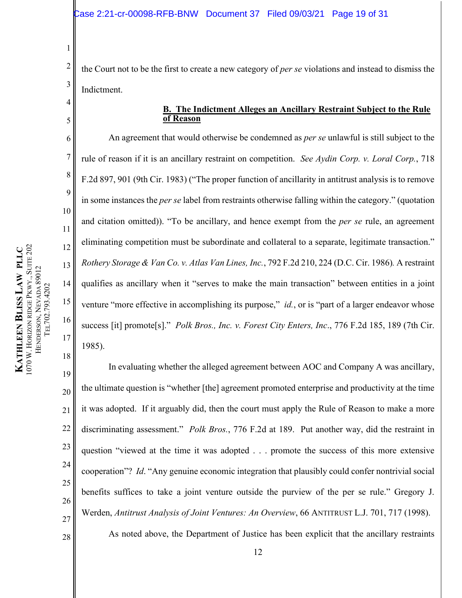2 3 the Court not to be the first to create a new category of *per se* violations and instead to dismiss the Indictment.

# <span id="page-18-1"></span>**B. The Indictment Alleges an Ancillary Restraint Subject to the Rule of Reason**

An agreement that would otherwise be condemned as *per se* unlawful is still subject to the rule of reason if it is an ancillary restraint on competition. *See Aydin Corp. v. Loral Corp.*, 718 F.2d 897, 901 (9th Cir. 1983) ("The proper function of ancillarity in antitrust analysis is to remove in some instances the *per se* label from restraints otherwise falling within the category." (quotation and citation omitted)). "To be ancillary, and hence exempt from the *per se* rule, an agreement eliminating competition must be subordinate and collateral to a separate, legitimate transaction." *Rothery Storage & Van Co. v. Atlas Van Lines, Inc.*, 792 F.2d 210, 224 (D.C. Cir. 1986)*.* A restraint qualifies as ancillary when it "serves to make the main transaction" between entities in a joint venture "more effective in accomplishing its purpose," *id.*, or is "part of a larger endeavor whose success [it] promote[s]." *Polk Bros., Inc. v. Forest City Enters, Inc*., 776 F.2d 185, 189 (7th Cir. 1985).

19 20 21 22 23 24 25 26 27 In evaluating whether the alleged agreement between AOC and Company A was ancillary, the ultimate question is "whether [the] agreement promoted enterprise and productivity at the time it was adopted. If it arguably did, then the court must apply the Rule of Reason to make a more discriminating assessment." *Polk Bros.*, 776 F.2d at 189. Put another way, did the restraint in question "viewed at the time it was adopted . . . promote the success of this more extensive cooperation"? *Id*. "Any genuine economic integration that plausibly could confer nontrivial social benefits suffices to take a joint venture outside the purview of the per se rule." Gregory J. Werden, *Antitrust Analysis of Joint Ventures: An Overview*, 66 ANTITRUST L.J. 701, 717 (1998).

<span id="page-18-5"></span><span id="page-18-3"></span>As noted above, the Department of Justice has been explicit that the ancillary restraints

1

<span id="page-18-0"></span>4

5

6

7

8

9

10

11

12

<span id="page-18-4"></span>13

14

15

<span id="page-18-2"></span>16

17

18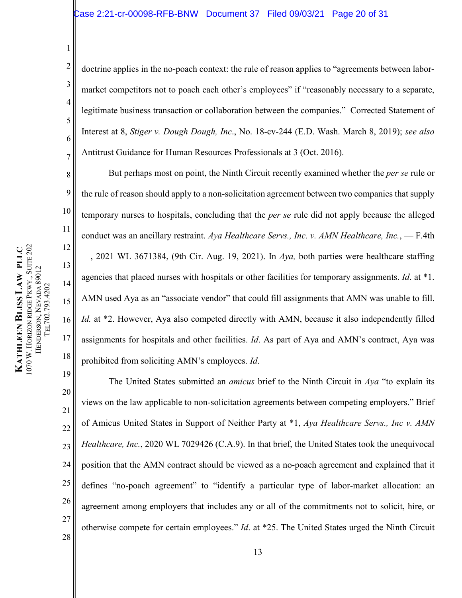<span id="page-19-3"></span>doctrine applies in the no-poach context: the rule of reason applies to "agreements between labormarket competitors not to poach each other's employees" if "reasonably necessary to a separate, legitimate business transaction or collaboration between the companies." Corrected Statement of Interest at 8, *Stiger v. Dough Dough, Inc*., No. 18-cv-244 (E.D. Wash. March 8, 2019); *see also* Antitrust Guidance for Human Resources Professionals at 3 (Oct. 2016).

But perhaps most on point, the Ninth Circuit recently examined whether the *per se* rule or the rule of reason should apply to a non-solicitation agreement between two companies that supply temporary nurses to hospitals, concluding that the *per se* rule did not apply because the alleged conduct was an ancillary restraint. *Aya Healthcare Servs., Inc. v. AMN Healthcare, Inc.*, — F.4th —, 2021 WL 3671384, (9th Cir. Aug. 19, 2021). In *Aya,* both parties were healthcare staffing agencies that placed nurses with hospitals or other facilities for temporary assignments. *Id*. at \*1. AMN used Aya as an "associate vendor" that could fill assignments that AMN was unable to fill. *Id.* at \*2. However, Aya also competed directly with AMN, because it also independently filled assignments for hospitals and other facilities. *Id*. As part of Aya and AMN's contract, Aya was prohibited from soliciting AMN's employees. *Id*.

1

2

3

4

5

6

7

8

9

10

<span id="page-19-0"></span>11

12

13

14

15

16

17

18

<span id="page-19-2"></span><span id="page-19-1"></span>The United States submitted an *amicus* brief to the Ninth Circuit in *Aya* "to explain its views on the law applicable to non-solicitation agreements between competing employers." Brief of Amicus United States in Support of Neither Party at \*1, *Aya Healthcare Servs., Inc v. AMN Healthcare, Inc.*, 2020 WL 7029426 (C.A.9). In that brief, the United States took the unequivocal position that the AMN contract should be viewed as a no-poach agreement and explained that it defines "no-poach agreement" to "identify a particular type of labor-market allocation: an agreement among employers that includes any or all of the commitments not to solicit, hire, or otherwise compete for certain employees." *Id*. at \*25. The United States urged the Ninth Circuit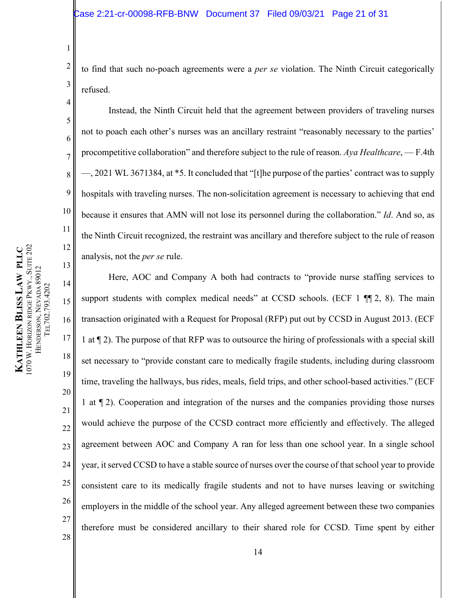2 3 to find that such no-poach agreements were a *per se* violation. The Ninth Circuit categorically refused.

<span id="page-20-0"></span>Instead, the Ninth Circuit held that the agreement between providers of traveling nurses not to poach each other's nurses was an ancillary restraint "reasonably necessary to the parties' procompetitive collaboration" and therefore subject to the rule of reason. *Aya Healthcare*, — F.4th —, 2021 WL 3671384, at \*5. It concluded that "[t]he purpose of the parties' contract was to supply hospitals with traveling nurses. The non-solicitation agreement is necessary to achieving that end because it ensures that AMN will not lose its personnel during the collaboration." *Id*. And so, as the Ninth Circuit recognized, the restraint was ancillary and therefore subject to the rule of reason analysis, not the *per se* rule.

14 15 16 17 18 19 20 21 22 23 24 25 26 27 Here, AOC and Company A both had contracts to "provide nurse staffing services to support students with complex medical needs" at CCSD schools. (ECF  $1 \parallel 2$ , 8). The main transaction originated with a Request for Proposal (RFP) put out by CCSD in August 2013. (ECF 1 at ¶ 2). The purpose of that RFP was to outsource the hiring of professionals with a special skill set necessary to "provide constant care to medically fragile students, including during classroom time, traveling the hallways, bus rides, meals, field trips, and other school-based activities." (ECF 1 at ¶ 2). Cooperation and integration of the nurses and the companies providing those nurses would achieve the purpose of the CCSD contract more efficiently and effectively. The alleged agreement between AOC and Company A ran for less than one school year. In a single school year, it served CCSD to have a stable source of nurses over the course of that school year to provide consistent care to its medically fragile students and not to have nurses leaving or switching employers in the middle of the school year. Any alleged agreement between these two companies therefore must be considered ancillary to their shared role for CCSD. Time spent by either

1

4

5

6

7

8

9

10

11

12

13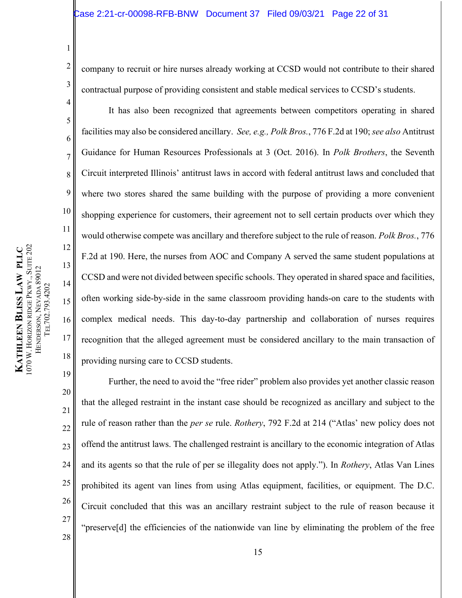company to recruit or hire nurses already working at CCSD would not contribute to their shared contractual purpose of providing consistent and stable medical services to CCSD's students.

<span id="page-21-0"></span>It has also been recognized that agreements between competitors operating in shared facilities may also be considered ancillary. *See, e.g., Polk Bros.*, 776 F.2d at 190; *see also* Antitrust Guidance for Human Resources Professionals at 3 (Oct. 2016). In *Polk Brothers*, the Seventh Circuit interpreted Illinois' antitrust laws in accord with federal antitrust laws and concluded that where two stores shared the same building with the purpose of providing a more convenient shopping experience for customers, their agreement not to sell certain products over which they would otherwise compete was ancillary and therefore subject to the rule of reason. *Polk Bros.*, 776 F.2d at 190. Here, the nurses from AOC and Company A served the same student populations at CCSD and were not divided between specific schools. They operated in shared space and facilities, often working side-by-side in the same classroom providing hands-on care to the students with complex medical needs. This day-to-day partnership and collaboration of nurses requires recognition that the alleged agreement must be considered ancillary to the main transaction of providing nursing care to CCSD students.

1

2

3

4

5

6

7

8

9

10

11

12

13

14

15

16

17

18

<span id="page-21-1"></span>Further, the need to avoid the "free rider" problem also provides yet another classic reason that the alleged restraint in the instant case should be recognized as ancillary and subject to the rule of reason rather than the *per se* rule. *Rothery*, 792 F.2d at 214 ("Atlas' new policy does not offend the antitrust laws. The challenged restraint is ancillary to the economic integration of Atlas and its agents so that the rule of per se illegality does not apply."). In *Rothery*, Atlas Van Lines prohibited its agent van lines from using Atlas equipment, facilities, or equipment. The D.C. Circuit concluded that this was an ancillary restraint subject to the rule of reason because it "preserve[d] the efficiencies of the nationwide van line by eliminating the problem of the free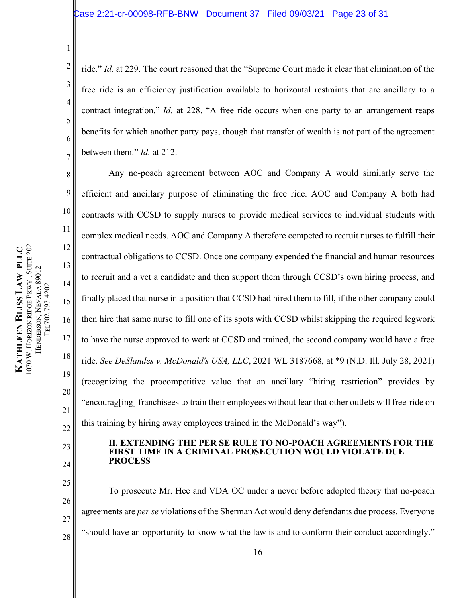ride." *Id.* at 229. The court reasoned that the "Supreme Court made it clear that elimination of the free ride is an efficiency justification available to horizontal restraints that are ancillary to a contract integration." *Id.* at 228. "A free ride occurs when one party to an arrangement reaps benefits for which another party pays, though that transfer of wealth is not part of the agreement between them." *Id.* at 212.

Any no-poach agreement between AOC and Company A would similarly serve the efficient and ancillary purpose of eliminating the free ride. AOC and Company A both had contracts with CCSD to supply nurses to provide medical services to individual students with complex medical needs. AOC and Company A therefore competed to recruit nurses to fulfill their contractual obligations to CCSD. Once one company expended the financial and human resources to recruit and a vet a candidate and then support them through CCSD's own hiring process, and finally placed that nurse in a position that CCSD had hired them to fill, if the other company could then hire that same nurse to fill one of its spots with CCSD whilst skipping the required legwork to have the nurse approved to work at CCSD and trained, the second company would have a free ride. *See DeSlandes v. McDonald's USA, LLC*, 2021 WL 3187668, at \*9 (N.D. Ill. July 28, 2021) (recognizing the procompetitive value that an ancillary "hiring restriction" provides by "encourag[ing] franchisees to train their employees without fear that other outlets will free-ride on this training by hiring away employees trained in the McDonald's way").

#### **II. EXTENDING THE PER SE RULE TO NO-POACH AGREEMENTS FOR THE FIRST TIME IN A CRIMINAL PROSECUTION WOULD VIOLATE DUE PROCESS**

To prosecute Mr. Hee and VDA OC under a never before adopted theory that no-poach agreements are *per se* violations of the Sherman Act would deny defendants due process. Everyone "should have an opportunity to know what the law is and to conform their conduct accordingly."

1

2

3

4

5

6

7

8

9

10

11

12

13

14

15

16

17

<span id="page-22-1"></span>18

19

20

21

22

<span id="page-22-0"></span>23

24

25

26

27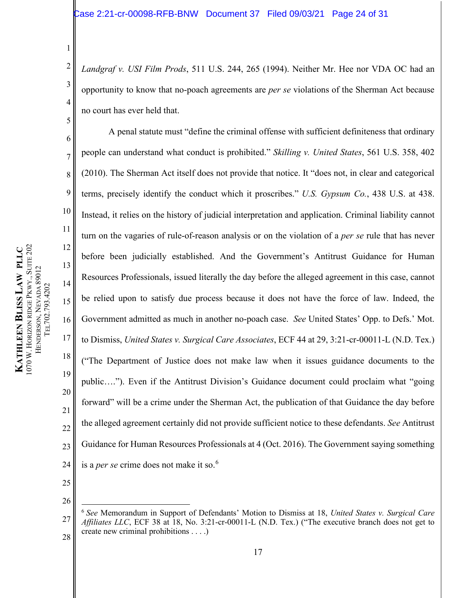<span id="page-23-0"></span>*Landgraf v. USI Film Prods*, 511 U.S. 244, 265 (1994). Neither Mr. Hee nor VDA OC had an opportunity to know that no-poach agreements are *per se* violations of the Sherman Act because no court has ever held that.

<span id="page-23-2"></span><span id="page-23-1"></span>A penal statute must "define the criminal offense with sufficient definiteness that ordinary people can understand what conduct is prohibited." *Skilling v. United States*, 561 U.S. 358, 402 (2010). The Sherman Act itself does not provide that notice. It "does not, in clear and categorical terms, precisely identify the conduct which it proscribes." *U.S. Gypsum Co.*, 438 U.S. at 438. Instead, it relies on the history of judicial interpretation and application. Criminal liability cannot turn on the vagaries of rule-of-reason analysis or on the violation of a *per se* rule that has never before been judicially established. And the Government's Antitrust Guidance for Human Resources Professionals, issued literally the day before the alleged agreement in this case, cannot be relied upon to satisfy due process because it does not have the force of law. Indeed, the Government admitted as much in another no-poach case. *See* United States' Opp. to Defs.' Mot. to Dismiss, *United States v. Surgical Care Associates*, ECF 44 at 29, 3:21-cr-00011-L (N.D. Tex.) ("The Department of Justice does not make law when it issues guidance documents to the public…."). Even if the Antitrust Division's Guidance document could proclaim what "going forward" will be a crime under the Sherman Act, the publication of that Guidance the day before the alleged agreement certainly did not provide sufficient notice to these defendants. *See* Antitrust Guidance for Human Resources Professionals at 4 (Oct. 2016). The Government saying something is a *per se* crime does not make it so.[6](#page-23-5)

25

26

<span id="page-23-4"></span>17

1070 W. HORIZON RIDGE PKWY., SUITE 202 PKWY., SUITE 202 **KATHLEEN BLISS LAW PLLC LAW PLLC** HENDERSON, NEVADA 89012 HENDERSON, NEVADA 89012 TEL702.793.4202 TEL702.793.4202 HORIZON RIDGE **KATHLEEN** 

1

2

3

4

5

6

7

8

9

10

11

12

13

14

15

16

17

18

19

20

21

22

23

<span id="page-23-5"></span><span id="page-23-3"></span><sup>27</sup> 28 <sup>6</sup> *See* Memorandum in Support of Defendants' Motion to Dismiss at 18, *United States v. Surgical Care Affiliates LLC*, ECF 38 at 18, No. 3:21-cr-00011-L (N.D. Tex.) ("The executive branch does not get to create new criminal prohibitions . . . .)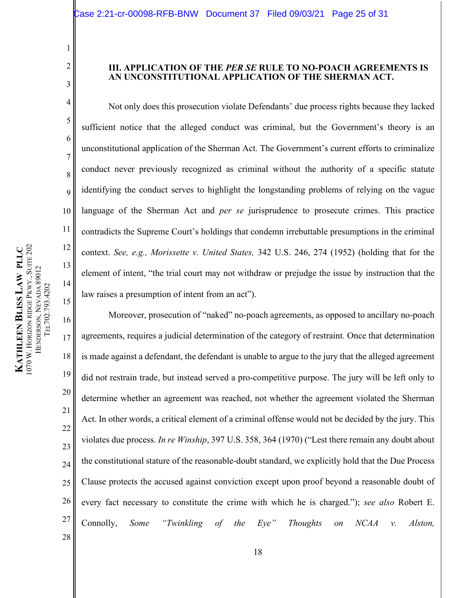## **III. APPLICATION OF THE** *PER SE* **RULE TO NO-POACH AGREEMENTS IS AN UNCONSTITUTIONAL APPLICATION OF THE SHERMAN ACT.**

Not only does this prosecution violate Defendants' due process rights because they lacked sufficient notice that the alleged conduct was criminal, but the Government's theory is an unconstitutional application of the Sherman Act. The Government's current efforts to criminalize conduct never previously recognized as criminal without the authority of a specific statute identifying the conduct serves to highlight the longstanding problems of relying on the vague language of the Sherman Act and *per se* jurisprudence to prosecute crimes. This practice contradicts the Supreme Court's holdings that condemn irrebuttable presumptions in the criminal context. *See, e.g., Morissette v. United States,* 342 U.S. 246, 274 (1952) (holding that for the element of intent, "the trial court may not withdraw or prejudge the issue by instruction that the law raises a presumption of intent from an act").

<span id="page-24-3"></span><span id="page-24-2"></span>16 17 18 19 20 21 22 23 24 25 26 27 28 Moreover, prosecution of "naked" no-poach agreements, as opposed to ancillary no-poach agreements, requires a judicial determination of the category of restraint. Once that determination is made against a defendant, the defendant is unable to argue to the jury that the alleged agreement did not restrain trade, but instead served a pro-competitive purpose. The jury will be left only to determine whether an agreement was reached, not whether the agreement violated the Sherman Act. In other words, a critical element of a criminal offense would not be decided by the jury. This violates due process. *In re Winship*, 397 U.S. 358, 364 (1970) ("Lest there remain any doubt about the constitutional stature of the reasonable-doubt standard, we explicitly hold that the Due Process Clause protects the accused against conviction except upon proof beyond a reasonable doubt of every fact necessary to constitute the crime with which he is charged."); *see also* Robert E. Connolly, *Some "Twinkling of the Eye" Thoughts on NCAA v. Alston,* 

1

<span id="page-24-0"></span>2

3

4

5

6

7

8

9

10

11

<span id="page-24-1"></span>12

13

14

15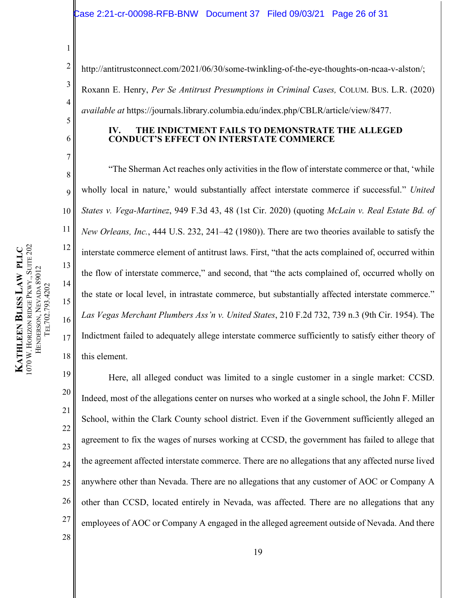#### Case 2:21-cr-00098-RFB-BNW Document 37 Filed 09/03/21 Page 26 of 31

2 5 http://antitrustconnect.com/2021/06/30/some-twinkling-of-the-eye-thoughts-on-ncaa-v-alston/; Roxann E. Henry, *Per Se Antitrust Presumptions in Criminal Cases,* COLUM. BUS. L.R. (2020) *available at* https://journals.library.columbia.edu/index.php/CBLR/article/view/8477.

#### <span id="page-25-2"></span>**IV. THE INDICTMENT FAILS TO DEMONSTRATE THE ALLEGED CONDUCT'S EFFECT ON INTERSTATE COMMERCE**

"The Sherman Act reaches only activities in the flow of interstate commerce or that, 'while wholly local in nature,' would substantially affect interstate commerce if successful." *United States v. Vega-Martinez*, 949 F.3d 43, 48 (1st Cir. 2020) (quoting *McLain v. Real Estate Bd. of New Orleans, Inc.*, 444 U.S. 232, 241–42 (1980)). There are two theories available to satisfy the interstate commerce element of antitrust laws. First, "that the acts complained of, occurred within the flow of interstate commerce," and second, that "the acts complained of, occurred wholly on the state or local level, in intrastate commerce, but substantially affected interstate commerce." *Las Vegas Merchant Plumbers Ass'n v. United States*, 210 F.2d 732, 739 n.3 (9th Cir. 1954). The Indictment failed to adequately allege interstate commerce sufficiently to satisfy either theory of this element.

19 20 21 22 23 24 25 26 27 Here, all alleged conduct was limited to a single customer in a single market: CCSD. Indeed, most of the allegations center on nurses who worked at a single school, the John F. Miller School, within the Clark County school district. Even if the Government sufficiently alleged an agreement to fix the wages of nurses working at CCSD, the government has failed to allege that the agreement affected interstate commerce. There are no allegations that any affected nurse lived anywhere other than Nevada. There are no allegations that any customer of AOC or Company A other than CCSD, located entirely in Nevada, was affected. There are no allegations that any employees of AOC or Company A engaged in the alleged agreement outside of Nevada. And there

1

<span id="page-25-3"></span>3

4

<span id="page-25-0"></span>6

7

8

9

10

11

12

13

14

15

<span id="page-25-1"></span>16

17

18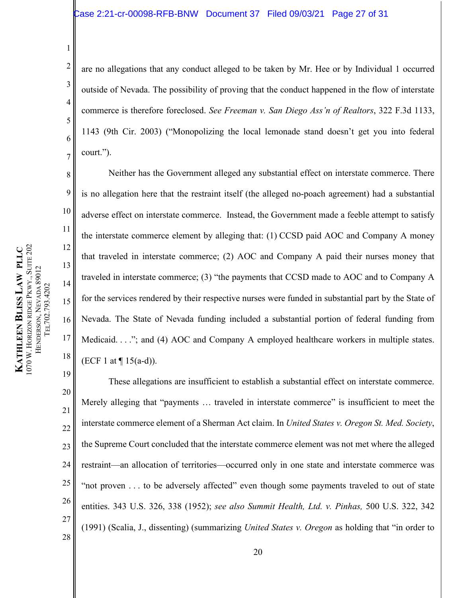## Case 2:21-cr-00098-RFB-BNW Document 37 Filed 09/03/21 Page 27 of 31

<span id="page-26-0"></span>are no allegations that any conduct alleged to be taken by Mr. Hee or by Individual 1 occurred outside of Nevada. The possibility of proving that the conduct happened in the flow of interstate commerce is therefore foreclosed. *See Freeman v. San Diego Ass'n of Realtors*, 322 F.3d 1133, 1143 (9th Cir. 2003) ("Monopolizing the local lemonade stand doesn't get you into federal court.").

Neither has the Government alleged any substantial effect on interstate commerce. There is no allegation here that the restraint itself (the alleged no-poach agreement) had a substantial adverse effect on interstate commerce. Instead, the Government made a feeble attempt to satisfy the interstate commerce element by alleging that: (1) CCSD paid AOC and Company A money that traveled in interstate commerce; (2) AOC and Company A paid their nurses money that traveled in interstate commerce; (3) "the payments that CCSD made to AOC and to Company A for the services rendered by their respective nurses were funded in substantial part by the State of Nevada. The State of Nevada funding included a substantial portion of federal funding from Medicaid. . . ."; and (4) AOC and Company A employed healthcare workers in multiple states. (ECF 1 at  $\P$  15(a-d)).

<span id="page-26-3"></span><span id="page-26-2"></span><span id="page-26-1"></span>20 21 22 23 24 25 26 27 28 These allegations are insufficient to establish a substantial effect on interstate commerce. Merely alleging that "payments ... traveled in interstate commerce" is insufficient to meet the interstate commerce element of a Sherman Act claim. In *United States v. Oregon St. Med. Society*, the Supreme Court concluded that the interstate commerce element was not met where the alleged restraint—an allocation of territories—occurred only in one state and interstate commerce was "not proven . . . to be adversely affected" even though some payments traveled to out of state entities. 343 U.S. 326, 338 (1952); *see also Summit Health, Ltd. v. Pinhas,* 500 U.S. 322, 342 (1991) (Scalia, J., dissenting) (summarizing *United States v. Oregon* as holding that "in order to

1

2

3

4

5

6

7

8

9

10

11

12

13

14

15

16

17

18

19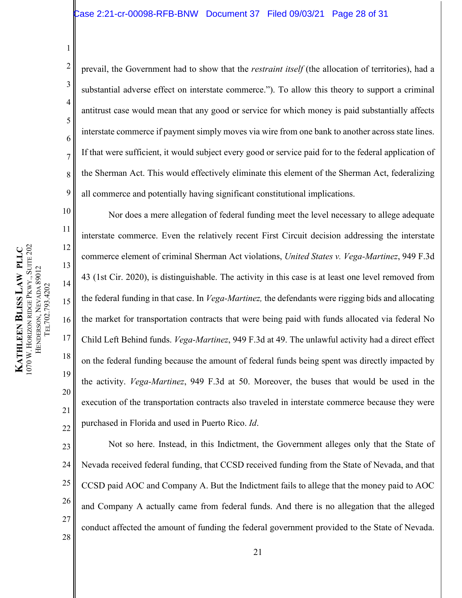## Case 2:21-cr-00098-RFB-BNW Document 37 Filed 09/03/21 Page 28 of 31

8 prevail, the Government had to show that the *restraint itself* (the allocation of territories), had a substantial adverse effect on interstate commerce."). To allow this theory to support a criminal antitrust case would mean that any good or service for which money is paid substantially affects interstate commerce if payment simply moves via wire from one bank to another across state lines. If that were sufficient, it would subject every good or service paid for to the federal application of the Sherman Act. This would effectively eliminate this element of the Sherman Act, federalizing all commerce and potentially having significant constitutional implications.

<span id="page-27-0"></span>Nor does a mere allegation of federal funding meet the level necessary to allege adequate interstate commerce. Even the relatively recent First Circuit decision addressing the interstate commerce element of criminal Sherman Act violations, *United States v. Vega-Martinez*, 949 F.3d 43 (1st Cir. 2020), is distinguishable. The activity in this case is at least one level removed from the federal funding in that case. In *Vega-Martinez,* the defendants were rigging bids and allocating the market for transportation contracts that were being paid with funds allocated via federal No Child Left Behind funds. *Vega-Martinez*, 949 F.3d at 49. The unlawful activity had a direct effect on the federal funding because the amount of federal funds being spent was directly impacted by the activity. *Vega-Martinez*, 949 F.3d at 50. Moreover, the buses that would be used in the execution of the transportation contracts also traveled in interstate commerce because they were purchased in Florida and used in Puerto Rico. *Id*.

23 24 25 26 27 28 Not so here. Instead, in this Indictment, the Government alleges only that the State of Nevada received federal funding, that CCSD received funding from the State of Nevada, and that CCSD paid AOC and Company A. But the Indictment fails to allege that the money paid to AOC and Company A actually came from federal funds. And there is no allegation that the alleged conduct affected the amount of funding the federal government provided to the State of Nevada.

1

2

3

4

5

6

7

9

10

11

12

13

14

15

16

17

18

19

20

21

22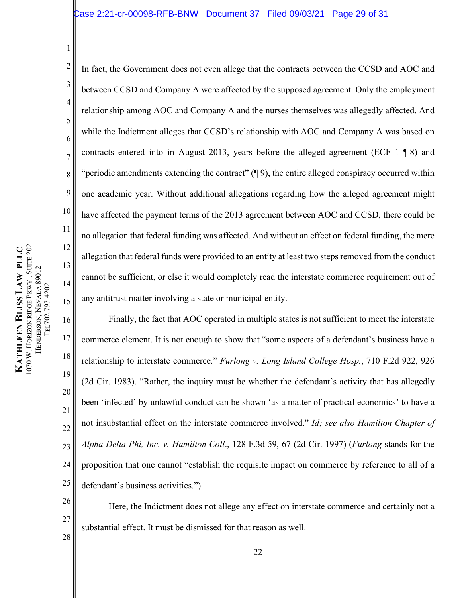2 3 5 8 9 10 12 13 15 In fact, the Government does not even allege that the contracts between the CCSD and AOC and between CCSD and Company A were affected by the supposed agreement. Only the employment relationship among AOC and Company A and the nurses themselves was allegedly affected. And while the Indictment alleges that CCSD's relationship with AOC and Company A was based on contracts entered into in August 2013, years before the alleged agreement (ECF 1 ¶ 8) and "periodic amendments extending the contract"  $(\P 9)$ , the entire alleged conspiracy occurred within one academic year. Without additional allegations regarding how the alleged agreement might have affected the payment terms of the 2013 agreement between AOC and CCSD, there could be no allegation that federal funding was affected. And without an effect on federal funding, the mere allegation that federal funds were provided to an entity at least two steps removed from the conduct cannot be sufficient, or else it would completely read the interstate commerce requirement out of any antitrust matter involving a state or municipal entity.

16 20 Finally, the fact that AOC operated in multiple states is not sufficient to meet the interstate commerce element. It is not enough to show that "some aspects of a defendant's business have a relationship to interstate commerce." *Furlong v. Long Island College Hosp.*, 710 F.2d 922, 926 (2d Cir. 1983). "Rather, the inquiry must be whether the defendant's activity that has allegedly been 'infected' by unlawful conduct can be shown 'as a matter of practical economics' to have a not insubstantial effect on the interstate commerce involved." *Id; see also Hamilton Chapter of Alpha Delta Phi, Inc. v. Hamilton Coll*., 128 F.3d 59, 67 (2d Cir. 1997) (*Furlong* stands for the proposition that one cannot "establish the requisite impact on commerce by reference to all of a defendant's business activities.").

<span id="page-28-2"></span><span id="page-28-1"></span>Here, the Indictment does not allege any effect on interstate commerce and certainly not a substantial effect. It must be dismissed for that reason as well.

1

4

6

7

11

14

17

<span id="page-28-0"></span>18

19

21

22

23

24

25

26

27

28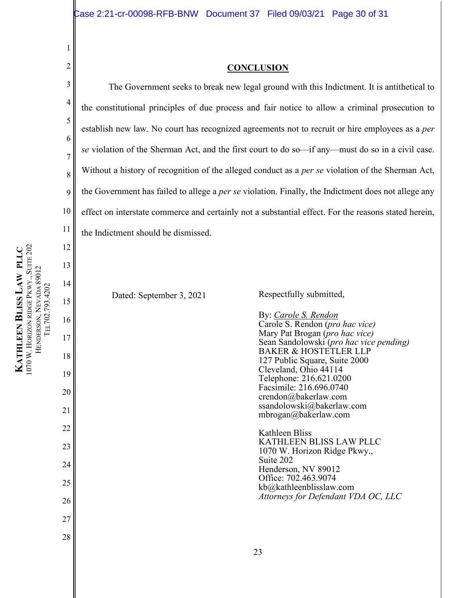#### **CONCLUSION**

The Government seeks to break new legal ground with this Indictment. It is antithetical to the constitutional principles of due process and fair notice to allow a criminal prosecution to establish new law. No court has recognized agreements not to recruit or hire employees as a *per se* violation of the Sherman Act, and the first court to do so—if any—must do so in a civil case. Without a history of recognition of the alleged conduct as a *per se* violation of the Sherman Act, the Government has failed to allege a *per se* violation. Finally, the Indictment does not allege any effect on interstate commerce and certainly not a substantial effect. For the reasons stated herein, the Indictment should be dismissed.

Dated: September 3, 2021 Respectfully submitted,

By: *Carole S. Rendon*  Carole S. Rendon (*pro hac vice)* Mary Pat Brogan (*pro hac vice)* Sean Sandolowski (*pro hac vice pending)* BAKER & HOSTETLER LLP 127 Public Square, Suite 2000 Cleveland, Ohio 44114 Telephone: 216.621.0200 Facsimile: 216.696.0740 crendon@bakerlaw.com ssandolowski@bakerlaw.com mbrogan@bakerlaw.com

Kathleen Bliss KATHLEEN BLISS LAW PLLC 1070 W. Horizon Ridge Pkwy., Suite 202 Henderson, NV 89012 Office: 702.463.9074 kb@kathleenblisslaw.com *Attorneys for Defendant VDA OC, LLC*

1

<span id="page-29-0"></span>2

3

4

5

6

7

8

9

10

11

12

13

14

15

16

17

18

19

20

21

22

23

24

25

26

27

28